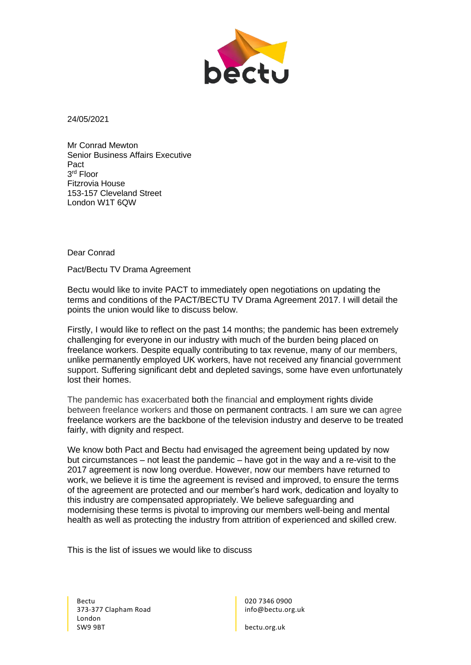

24/05/2021

Mr Conrad Mewton Senior Business Affairs Executive Pact 3 rd Floor Fitzrovia House 153-157 Cleveland Street London W1T 6QW

## Dear Conrad

Pact/Bectu TV Drama Agreement

Bectu would like to invite PACT to immediately open negotiations on updating the terms and conditions of the PACT/BECTU TV Drama Agreement 2017. I will detail the points the union would like to discuss below.

Firstly, I would like to reflect on the past 14 months; the pandemic has been extremely challenging for everyone in our industry with much of the burden being placed on freelance workers. Despite equally contributing to tax revenue, many of our members, unlike permanently employed UK workers, have not received any financial government support. Suffering significant debt and depleted savings, some have even unfortunately lost their homes.

The pandemic has exacerbated both the financial and employment rights divide between freelance workers and those on permanent contracts. I am sure we can agree freelance workers are the backbone of the television industry and deserve to be treated fairly, with dignity and respect.

We know both Pact and Bectu had envisaged the agreement being updated by now but circumstances – not least the pandemic – have got in the way and a re-visit to the 2017 agreement is now long overdue. However, now our members have returned to work, we believe it is time the agreement is revised and improved, to ensure the terms of the agreement are protected and our member's hard work, dedication and loyalty to this industry are compensated appropriately. We believe safeguarding and modernising these terms is pivotal to improving our members well-being and mental health as well as protecting the industry from attrition of experienced and skilled crew.

This is the list of issues we would like to discuss

Bectu 373-377 Clapham Road London SW9 9BT

020 7346 0900 info@bectu.org.uk

bectu.org.uk